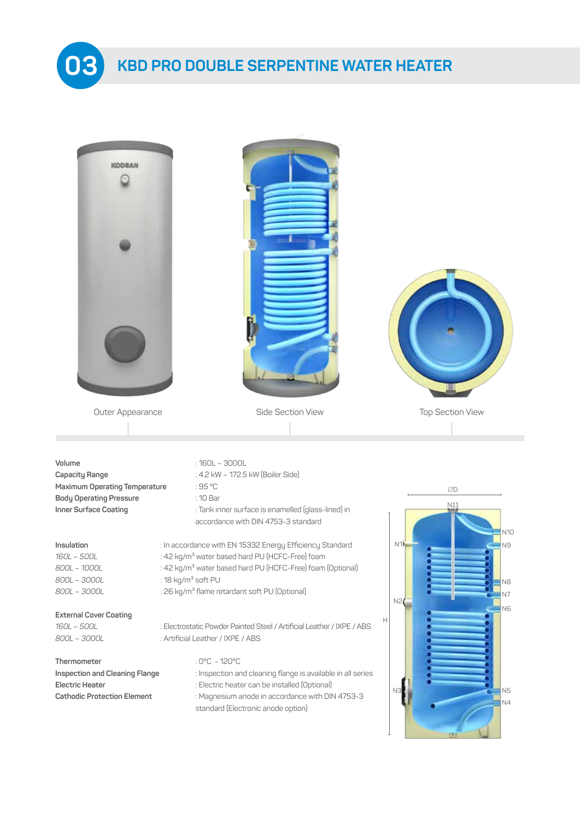

## **KBD PRO DOUBLE SERPENTINE WATER HEATER 03**

| <b>HABOON</b>                                                                                                               |                                                                                                                                                                                                                                                                                                  |                                                                                               |
|-----------------------------------------------------------------------------------------------------------------------------|--------------------------------------------------------------------------------------------------------------------------------------------------------------------------------------------------------------------------------------------------------------------------------------------------|-----------------------------------------------------------------------------------------------|
| Outer Appearance                                                                                                            | Side Section View                                                                                                                                                                                                                                                                                | <b>Top Section View</b>                                                                       |
| Volume<br>Capacity Range<br><b>Maximum Operating Temperature</b><br><b>Body Operating Pressure</b><br>Inner Surface Coating | $:160L - 3000L$<br>: 4.2 kW - 172.5 kW (Boiler Side)<br>:95 °C<br>: 10 Bar<br>: Tank inner surface is enamelled (glass-lined) in<br>accordance with DIN 4753-3 standard                                                                                                                          | ØD<br>N11                                                                                     |
| Insulation<br>160L - 500L<br>800L - 1000L<br>800L - 3000L<br>800L - 3000L                                                   | : In accordance with EN 15332 Energy Efficiency Standard<br>: 42 kg/m <sup>3</sup> water based hard PU (HCFC-Free) foam<br>: 42 kg/m <sup>3</sup> water based hard PU (HCFC-Free) foam (Optional)<br>: 18 kg/m <sup>3</sup> soft PU<br>: 26 kg/m <sup>3</sup> flame retardant soft PU (Optional) | N <sub>10</sub><br>N1<br>N <sub>9</sub><br>N <sub>8</sub><br>N <sub>7</sub><br>N <sub>2</sub> |
| <b>External Cover Coating</b><br>160L - 500L<br>800L - 3000L                                                                | : Electrostatic Powder Painted Steel / Artificial Leather / IXPE / ABS<br>: Artificial Leather / IXPE / ABS                                                                                                                                                                                      | N <sub>6</sub><br>Н                                                                           |
| Thermometer<br><b>Inspection and Cleaning Flange</b><br><b>Electric Heater</b><br><b>Cathodic Protection Element</b>        | : 0°C - 120°C<br>: Inspection and cleaning flange is available in all series<br>: Electric heater can be installed (Optional)<br>: Magnesium anode in accordance with DIN 4753-3<br>standard (Electronic anode option)                                                                           | N <sub>5</sub><br>NЗ<br>N4<br>133                                                             |